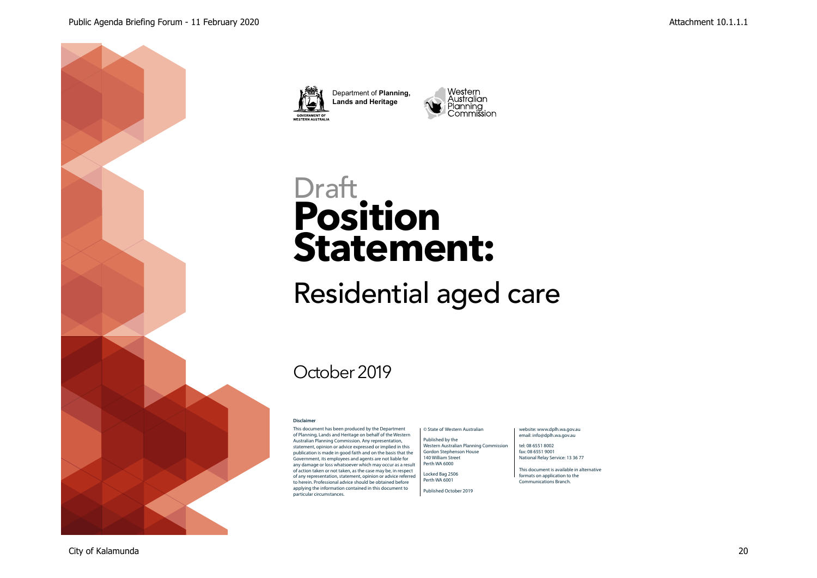





# **Position Statement: Draft**

Residential aged care

## October 2019

#### **Disclaimer**

This document has been produced by the Department of Planning, Lands and Heritage on behalf of the Western Australian Planning Commission. Any representation, statement, opinion or advice expressed or implied in this publication is made in good faith and on the basis that the Government, its employees and agents are not liable for any damage or loss whatsoever which may occur as a result of action taken or not taken, as the case may be, in respect of any representation, statement, opinion or advice referred to herein. Professional advice should be obtained before applying the information contained in this document to particular circumstances.

#### © State of Western Australian

Published by the Western Australian Planning Commission Gordon Stephenson House

140 William Street Perth WA 6000 Locked Bag 2506

Published October 2019

Perth WA 6001

#### website: www.dplh.wa.gov.au email: info@dplh.wa.gov.au

tel: 08 6551 8002 fax: 08 6551 9001 National Relay Service: 13 36 77

This document is available in alternative formats on application to the Communications Branch.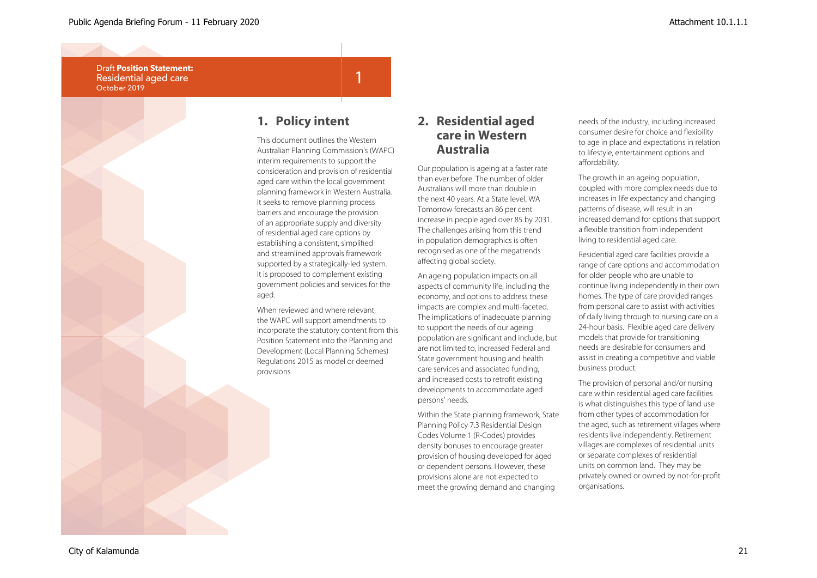

## **1. Policy intent**

This document outlines the Western Australian Planning Commission's (WAPC) interim requirements to support the consideration and provision of residential aged care within the local government planning framework in Western Australia. It seeks to remove planning process barriers and encourage the provision of an appropriate supply and diversity of residential aged care options by establishing a consistent, simplified and streamlined approvals framework supported by a strategically-led system. It is proposed to complement existing government policies and services for the

1

When reviewed and where relevant, the WAPC will support amendments to incorporate the statutory content from this Position Statement into the Planning and Development (Local Planning Schemes) Regulations 2015 as model or deemed

### **2. Residential aged care in Western Australia**

Our population is ageing at a faster rate than ever before. The number of older Australians will more than double in the next 40 years. At a State level, WA Tomorrow forecasts an 86 per cent increase in people aged over 85 by 2031. The challenges arising from this trend in population demographics is often recognised as one of the megatrends affecting global society.

An ageing population impacts on all aspects of community life, including the economy, and options to address these impacts are complex and multi-faceted. The implications of inadequate planning to support the needs of our ageing population are significant and include, but are not limited to, increased Federal and State government housing and health care services and associated funding, and increased costs to retrofit existing developments to accommodate aged persons' needs.

Within the State planning framework, State Planning Policy 7.3 Residential Design Codes Volume 1 (R-Codes) provides density bonuses to encourage greater provision of housing developed for aged or dependent persons. However, these provisions alone are not expected to meet the growing demand and changing

needs of the industry, including increased consumer desire for choice and flexibility to age in place and expectations in relation to lifestyle, entertainment options and affordability.

The growth in an ageing population, coupled with more complex needs due to increases in life expectancy and changing patterns of disease, will result in an increased demand for options that support a flexible transition from independent living to residential aged care.

Residential aged care facilities provide a range of care options and accommodation for older people who are unable to continue living independently in their own homes. The type of care provided ranges from personal care to assist with activities of daily living through to nursing care on a 24-hour basis. Flexible aged care delivery models that provide for transitioning needs are desirable for consumers and assist in creating a competitive and viable business product.

The provision of personal and/or nursing care within residential aged care facilities is what distinguishes this type of land use from other types of accommodation for the aged, such as retirement villages where residents live independently. Retirement villages are complexes of residential units or separate complexes of residential units on common land. They may be privately owned or owned by not-for-profit organisations.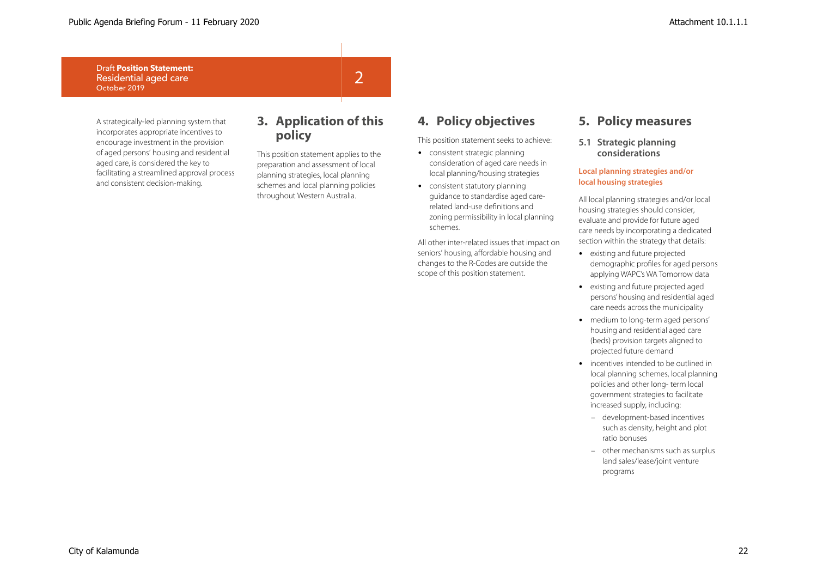A strategically-led planning system that incorporates appropriate incentives to encourage investment in the provision of aged persons' housing and residential aged care, is considered the key to facilitating a streamlined approval process and consistent decision-making.

## **3. Application of this policy**

2

This position statement applies to the preparation and assessment of local planning strategies, local planning schemes and local planning policies throughout Western Australia.

## **4. Policy objectives**

This position statement seeks to achieve:

- consistent strategic planning consideration of aged care needs in local planning/housing strategies
- consistent statutory planning guidance to standardise aged carerelated land-use definitions and zoning permissibility in local planning schemes.

All other inter-related issues that impact on seniors' housing, affordable housing and changes to the R-Codes are outside the scope of this position statement.

## **5. Policy measures**

**5.1 Strategic planning considerations**

#### **Local planning strategies and/or local housing strategies**

All local planning strategies and/or local housing strategies should consider, evaluate and provide for future aged care needs by incorporating a dedicated section within the strategy that details:

- existing and future projected demographic profiles for aged persons applying WAPC's WA Tomorrow data
- existing and future projected aged persons' housing and residential aged care needs across the municipality
- medium to long-term aged persons' housing and residential aged care (beds) provision targets aligned to projected future demand
- incentives intended to be outlined in local planning schemes, local planning policies and other long- term local government strategies to facilitate increased supply, including:
	- development-based incentives such as density, height and plot ratio bonuses
	- other mechanisms such as surplus land sales/lease/joint venture programs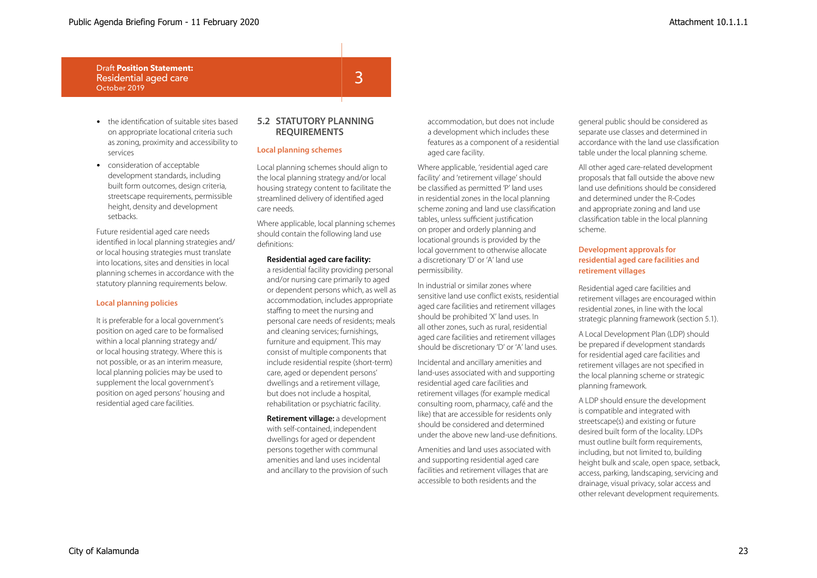- the identification of suitable sites based on appropriate locational criteria such as zoning, proximity and accessibility to services
- consideration of acceptable development standards, including built form outcomes, design criteria, streetscape requirements, permissible height, density and development setbacks.

Future residential aged care needs identified in local planning strategies and/ or local housing strategies must translate into locations, sites and densities in local planning schemes in accordance with the statutory planning requirements below.

#### **Local planning policies**

It is preferable for a local government's position on aged care to be formalised within a local planning strategy and/ or local housing strategy. Where this is not possible, or as an interim measure, local planning policies may be used to supplement the local government's position on aged persons' housing and residential aged care facilities.

#### **5.2 STATUTORY PLANNING REQUIREMENTS**

3

#### **Local planning schemes**

Local planning schemes should align to the local planning strategy and/or local housing strategy content to facilitate the streamlined delivery of identified aged care needs.

Where applicable, local planning schemes should contain the following land use definitions:

#### **Residential aged care facility:**

a residential facility providing personal and/or nursing care primarily to aged or dependent persons which, as well as accommodation, includes appropriate staffing to meet the nursing and personal care needs of residents; meals and cleaning services; furnishings, furniture and equipment. This may consist of multiple components that include residential respite (short-term) care, aged or dependent persons' dwellings and a retirement village, but does not include a hospital, rehabilitation or psychiatric facility.

**Retirement village:** a development with self-contained, independent dwellings for aged or dependent persons together with communal amenities and land uses incidental and ancillary to the provision of such accommodation, but does not include a development which includes these features as a component of a residential aged care facility.

Where applicable, 'residential aged care facility' and 'retirement village' should be classified as permitted 'P' land uses in residential zones in the local planning scheme zoning and land use classification tables, unless sufficient justification on proper and orderly planning and locational grounds is provided by the local government to otherwise allocate a discretionary 'D' or 'A' land use permissibility.

In industrial or similar zones where sensitive land use conflict exists, residential aged care facilities and retirement villages should be prohibited 'X' land uses. In all other zones, such as rural, residential aged care facilities and retirement villages should be discretionary 'D' or 'A' land uses.

Incidental and ancillary amenities and land-uses associated with and supporting residential aged care facilities and retirement villages (for example medical consulting room, pharmacy, café and the like) that are accessible for residents only should be considered and determined under the above new land-use definitions.

Amenities and land uses associated with and supporting residential aged care facilities and retirement villages that are accessible to both residents and the

general public should be considered as separate use classes and determined in accordance with the land use classification table under the local planning scheme.

All other aged care-related development proposals that fall outside the above new land use definitions should be considered and determined under the R-Codes and appropriate zoning and land use classification table in the local planning scheme.

#### **Development approvals for residential aged care facilities and retirement villages**

Residential aged care facilities and retirement villages are encouraged within residential zones, in line with the local strategic planning framework (section 5.1).

A Local Development Plan (LDP) should be prepared if development standards for residential aged care facilities and retirement villages are not specified in the local planning scheme or strategic planning framework.

A LDP should ensure the development is compatible and integrated with streetscape(s) and existing or future desired built form of the locality. LDPs must outline built form requirements, including, but not limited to, building height bulk and scale, open space, setback, access, parking, landscaping, servicing and drainage, visual privacy, solar access and other relevant development requirements.